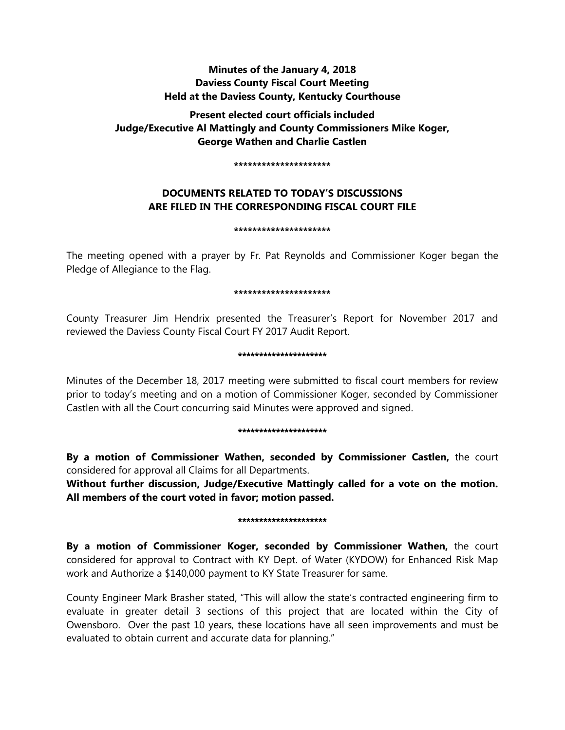## **Minutes of the January 4, 2018 Daviess County Fiscal Court Meeting Held at the Daviess County, Kentucky Courthouse**

# **Present elected court officials included Judge/Executive Al Mattingly and County Commissioners Mike Koger, George Wathen and Charlie Castlen**

#### **\*\*\*\*\*\*\*\*\*\*\*\*\*\*\*\*\*\*\*\*\***

## **DOCUMENTS RELATED TO TODAY'S DISCUSSIONS ARE FILED IN THE CORRESPONDING FISCAL COURT FILE**

#### **\*\*\*\*\*\*\*\*\*\*\*\*\*\*\*\*\*\*\*\*\***

The meeting opened with a prayer by Fr. Pat Reynolds and Commissioner Koger began the Pledge of Allegiance to the Flag.

#### **\*\*\*\*\*\*\*\*\*\*\*\*\*\*\*\*\*\*\*\*\***

County Treasurer Jim Hendrix presented the Treasurer's Report for November 2017 and reviewed the Daviess County Fiscal Court FY 2017 Audit Report.

#### \*\*\*\*\*\*\*\*\*\*\*\*\*\*\*\*\*\*\*\*\*

Minutes of the December 18, 2017 meeting were submitted to fiscal court members for review prior to today's meeting and on a motion of Commissioner Koger, seconded by Commissioner Castlen with all the Court concurring said Minutes were approved and signed.

#### \*\*\*\*\*\*\*\*\*\*\*\*\*\*\*\*\*\*\*\*\*

**By a motion of Commissioner Wathen, seconded by Commissioner Castlen,** the court considered for approval all Claims for all Departments.

**Without further discussion, Judge/Executive Mattingly called for a vote on the motion. All members of the court voted in favor; motion passed.** 

#### \*\*\*\*\*\*\*\*\*\*\*\*\*\*\*\*\*\*\*\*\*

**By a motion of Commissioner Koger, seconded by Commissioner Wathen,** the court considered for approval to Contract with KY Dept. of Water (KYDOW) for Enhanced Risk Map work and Authorize a \$140,000 payment to KY State Treasurer for same.

County Engineer Mark Brasher stated, "This will allow the state's contracted engineering firm to evaluate in greater detail 3 sections of this project that are located within the City of Owensboro. Over the past 10 years, these locations have all seen improvements and must be evaluated to obtain current and accurate data for planning."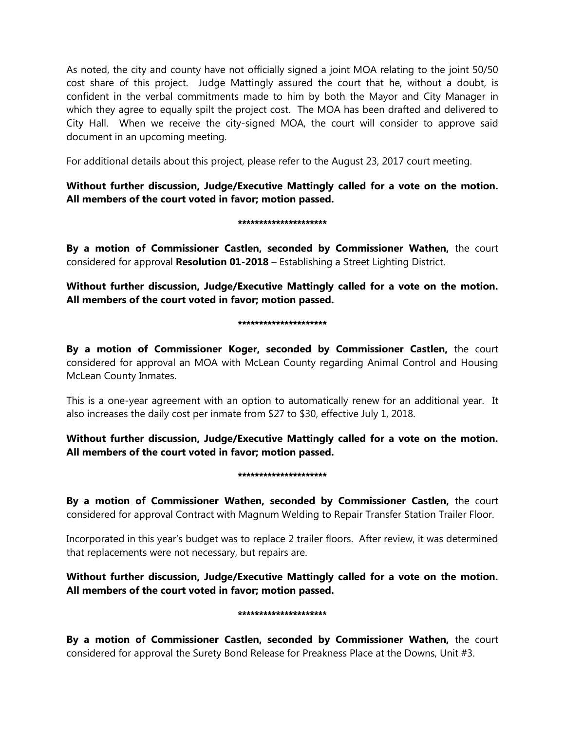As noted, the city and county have not officially signed a joint MOA relating to the joint 50/50 cost share of this project. Judge Mattingly assured the court that he, without a doubt, is confident in the verbal commitments made to him by both the Mayor and City Manager in which they agree to equally spilt the project cost. The MOA has been drafted and delivered to City Hall. When we receive the city-signed MOA, the court will consider to approve said document in an upcoming meeting.

For additional details about this project, please refer to the August 23, 2017 court meeting.

**Without further discussion, Judge/Executive Mattingly called for a vote on the motion. All members of the court voted in favor; motion passed.** 

#### \*\*\*\*\*\*\*\*\*\*\*\*\*\*\*\*\*\*\*\*\*

**By a motion of Commissioner Castlen, seconded by Commissioner Wathen,** the court considered for approval **Resolution 01-2018** – Establishing a Street Lighting District.

**Without further discussion, Judge/Executive Mattingly called for a vote on the motion. All members of the court voted in favor; motion passed.** 

#### \*\*\*\*\*\*\*\*\*\*\*\*\*\*\*\*\*\*\*\*\*

**By a motion of Commissioner Koger, seconded by Commissioner Castlen,** the court considered for approval an MOA with McLean County regarding Animal Control and Housing McLean County Inmates.

This is a one-year agreement with an option to automatically renew for an additional year. It also increases the daily cost per inmate from \$27 to \$30, effective July 1, 2018.

**Without further discussion, Judge/Executive Mattingly called for a vote on the motion. All members of the court voted in favor; motion passed.**

#### \*\*\*\*\*\*\*\*\*\*\*\*\*\*\*\*\*\*\*\*

**By a motion of Commissioner Wathen, seconded by Commissioner Castlen,** the court considered for approval Contract with Magnum Welding to Repair Transfer Station Trailer Floor.

Incorporated in this year's budget was to replace 2 trailer floors. After review, it was determined that replacements were not necessary, but repairs are.

**Without further discussion, Judge/Executive Mattingly called for a vote on the motion. All members of the court voted in favor; motion passed.**

#### \*\*\*\*\*\*\*\*\*\*\*\*\*\*\*\*\*\*\*\*\*

**By a motion of Commissioner Castlen, seconded by Commissioner Wathen,** the court considered for approval the Surety Bond Release for Preakness Place at the Downs, Unit #3.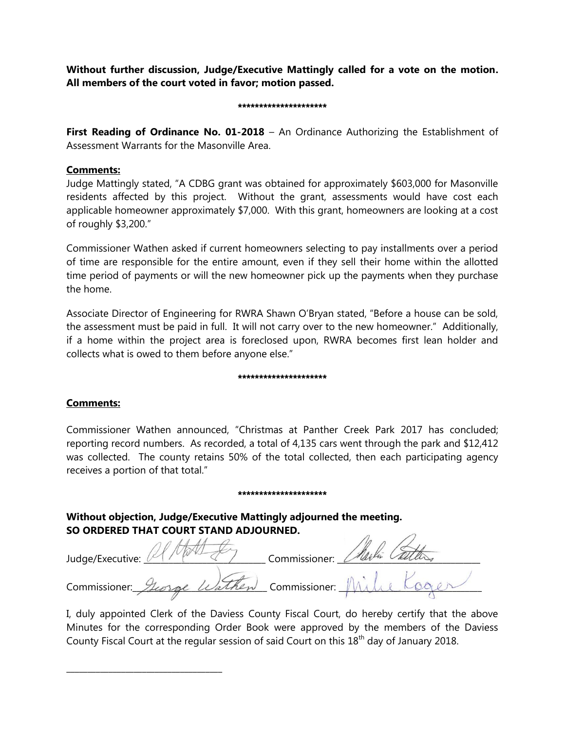**Without further discussion, Judge/Executive Mattingly called for a vote on the motion. All members of the court voted in favor; motion passed.** 

#### \*\*\*\*\*\*\*\*\*\*\*\*\*\*\*\*\*\*\*\*\*

**First Reading of Ordinance No. 01-2018** – An Ordinance Authorizing the Establishment of Assessment Warrants for the Masonville Area.

### **Comments:**

Judge Mattingly stated, "A CDBG grant was obtained for approximately \$603,000 for Masonville residents affected by this project. Without the grant, assessments would have cost each applicable homeowner approximately \$7,000. With this grant, homeowners are looking at a cost of roughly \$3,200."

Commissioner Wathen asked if current homeowners selecting to pay installments over a period of time are responsible for the entire amount, even if they sell their home within the allotted time period of payments or will the new homeowner pick up the payments when they purchase the home.

Associate Director of Engineering for RWRA Shawn O'Bryan stated, "Before a house can be sold, the assessment must be paid in full. It will not carry over to the new homeowner." Additionally, if a home within the project area is foreclosed upon, RWRA becomes first lean holder and collects what is owed to them before anyone else."

#### \*\*\*\*\*\*\*\*\*\*\*\*\*\*\*\*\*\*\*

### **Comments:**

\_\_\_\_\_\_\_\_\_\_\_\_\_\_\_\_\_\_\_\_\_\_\_\_\_\_\_\_\_\_\_\_\_\_\_\_\_

Commissioner Wathen announced, "Christmas at Panther Creek Park 2017 has concluded; reporting record numbers. As recorded, a total of 4,135 cars went through the park and \$12,412 was collected. The county retains 50% of the total collected, then each participating agency receives a portion of that total."

#### \*\*\*\*\*\*\*\*\*\*\*\*\*\*\*\*\*\*\*\*\*

**Without objection, Judge/Executive Mattingly adjourned the meeting. SO ORDERED THAT COURT STAND ADJOURNED.**  $\sqrt{2}$ 

| 30 UNDENED THAT COUNT STAIND ADJOUNNED.   |               |  |
|-------------------------------------------|---------------|--|
| Judge/Executive:                          | Commissioner: |  |
| Commissioner: George Wathen Commissioner. |               |  |

I, duly appointed Clerk of the Daviess County Fiscal Court, do hereby certify that the above Minutes for the corresponding Order Book were approved by the members of the Daviess County Fiscal Court at the regular session of said Court on this 18<sup>th</sup> day of January 2018.